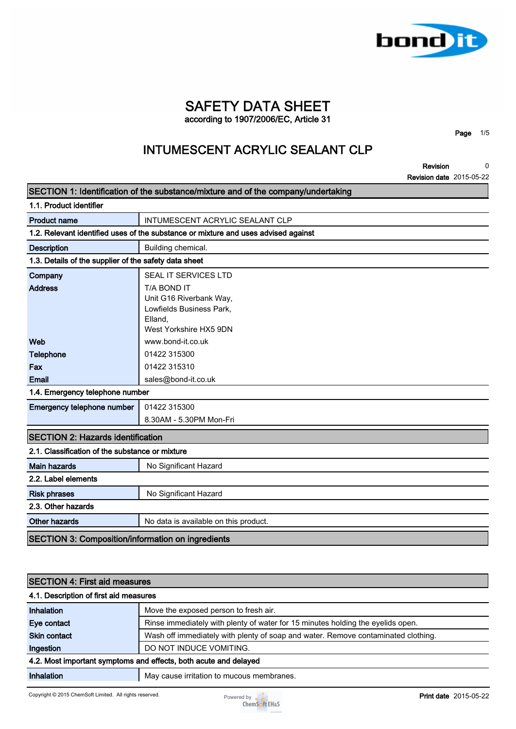

### **SAFETY DATA SHEET according to 1907/2006/EC, Article 31**

**Page 1/5**

## **INTUMESCENT ACRYLIC SEALANT CLP**

**Revision Revision date 2015-05-22 0**

| SECTION 1: Identification of the substance/mixture and of the company/undertaking |                                                                                                         |
|-----------------------------------------------------------------------------------|---------------------------------------------------------------------------------------------------------|
| 1.1. Product identifier                                                           |                                                                                                         |
| <b>Product name</b>                                                               | INTUMESCENT ACRYLIC SEALANT CLP                                                                         |
|                                                                                   | 1.2. Relevant identified uses of the substance or mixture and uses advised against                      |
| <b>Description</b>                                                                | Building chemical.                                                                                      |
| 1.3. Details of the supplier of the safety data sheet                             |                                                                                                         |
| Company                                                                           | SEAL IT SERVICES LTD                                                                                    |
| <b>Address</b>                                                                    | T/A BOND IT<br>Unit G16 Riverbank Way,<br>Lowfields Business Park,<br>Elland.<br>West Yorkshire HX5 9DN |
| Web                                                                               | www.bond-it.co.uk                                                                                       |
| <b>Telephone</b>                                                                  | 01422 315300                                                                                            |
| Fax                                                                               | 01422 315310                                                                                            |
| Email                                                                             | sales@bond-it.co.uk                                                                                     |
| 1.4. Emergency telephone number                                                   |                                                                                                         |
| Emergency telephone number                                                        | 01422 315300                                                                                            |
|                                                                                   | 8.30AM - 5.30PM Mon-Fri                                                                                 |
| <b>SECTION 2: Hazards identification</b>                                          |                                                                                                         |
| 2.1. Classification of the substance or mixture                                   |                                                                                                         |
| <b>Main hazards</b>                                                               | No Significant Hazard                                                                                   |
| 2.2. Label elements                                                               |                                                                                                         |
| <b>Risk phrases</b>                                                               | No Significant Hazard                                                                                   |
| 2.3. Other hazards                                                                |                                                                                                         |
| <b>Other hazards</b>                                                              | No data is available on this product.                                                                   |
| <b>SECTION 3: Composition/information on ingredients</b>                          |                                                                                                         |
|                                                                                   |                                                                                                         |

#### **SECTION 4: First aid measures**

| 4.1. Description of first aid measures |                                                                                   |
|----------------------------------------|-----------------------------------------------------------------------------------|
| Inhalation                             | Move the exposed person to fresh air.                                             |
| Eye contact                            | Rinse immediately with plenty of water for 15 minutes holding the eyelids open.   |
| <b>Skin contact</b>                    | Wash off immediately with plenty of soap and water. Remove contaminated clothing. |
| Ingestion                              | DO NOT INDUCE VOMITING.                                                           |
|                                        | 4.2. Most important symptoms and effects, both acute and delayed                  |
| Inhalation                             | May cause irritation to mucous membranes.                                         |

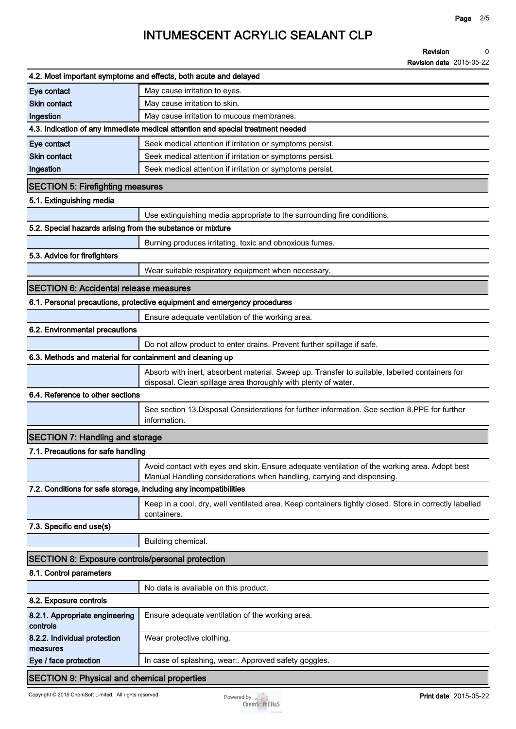| 4.2. Most important symptoms and effects, both acute and delayed  |                                                                                                                                                                         |
|-------------------------------------------------------------------|-------------------------------------------------------------------------------------------------------------------------------------------------------------------------|
| Eye contact                                                       | May cause irritation to eyes.                                                                                                                                           |
| <b>Skin contact</b>                                               | May cause irritation to skin.                                                                                                                                           |
| Ingestion                                                         | May cause irritation to mucous membranes.                                                                                                                               |
|                                                                   | 4.3. Indication of any immediate medical attention and special treatment needed                                                                                         |
| Eye contact                                                       | Seek medical attention if irritation or symptoms persist.                                                                                                               |
| <b>Skin contact</b>                                               | Seek medical attention if irritation or symptoms persist.                                                                                                               |
| Ingestion                                                         | Seek medical attention if irritation or symptoms persist.                                                                                                               |
| <b>SECTION 5: Firefighting measures</b>                           |                                                                                                                                                                         |
| 5.1. Extinguishing media                                          |                                                                                                                                                                         |
|                                                                   | Use extinguishing media appropriate to the surrounding fire conditions.                                                                                                 |
| 5.2. Special hazards arising from the substance or mixture        |                                                                                                                                                                         |
|                                                                   | Burning produces irritating, toxic and obnoxious fumes.                                                                                                                 |
| 5.3. Advice for firefighters                                      |                                                                                                                                                                         |
|                                                                   | Wear suitable respiratory equipment when necessary.                                                                                                                     |
| <b>SECTION 6: Accidental release measures</b>                     |                                                                                                                                                                         |
|                                                                   | 6.1. Personal precautions, protective equipment and emergency procedures                                                                                                |
|                                                                   | Ensure adequate ventilation of the working area.                                                                                                                        |
| 6.2. Environmental precautions                                    |                                                                                                                                                                         |
|                                                                   | Do not allow product to enter drains. Prevent further spillage if safe.                                                                                                 |
| 6.3. Methods and material for containment and cleaning up         |                                                                                                                                                                         |
|                                                                   | Absorb with inert, absorbent material. Sweep up. Transfer to suitable, labelled containers for<br>disposal. Clean spillage area thoroughly with plenty of water.        |
| 6.4. Reference to other sections                                  |                                                                                                                                                                         |
|                                                                   | See section 13. Disposal Considerations for further information. See section 8. PPE for further<br>information.                                                         |
| <b>SECTION 7: Handling and storage</b>                            |                                                                                                                                                                         |
| 7.1. Precautions for safe handling                                |                                                                                                                                                                         |
|                                                                   | Avoid contact with eyes and skin. Ensure adequate ventilation of the working area. Adopt best<br>Manual Handling considerations when handling, carrying and dispensing. |
| 7.2. Conditions for safe storage, including any incompatibilities |                                                                                                                                                                         |
|                                                                   | Keep in a cool, dry, well ventilated area. Keep containers tightly closed. Store in correctly labelled<br>containers.                                                   |
| 7.3. Specific end use(s)                                          |                                                                                                                                                                         |
|                                                                   | Building chemical.                                                                                                                                                      |
| <b>SECTION 8: Exposure controls/personal protection</b>           |                                                                                                                                                                         |
| 8.1. Control parameters                                           |                                                                                                                                                                         |
|                                                                   | No data is available on this product.                                                                                                                                   |
| 8.2. Exposure controls                                            |                                                                                                                                                                         |
| 8.2.1. Appropriate engineering<br>controls                        | Ensure adequate ventilation of the working area.                                                                                                                        |
| 8.2.2. Individual protection<br>measures                          | Wear protective clothing.                                                                                                                                               |
| Eye / face protection                                             | In case of splashing, wear:. Approved safety goggles.                                                                                                                   |
| <b>SECTION 9: Physical and chemical properties</b>                |                                                                                                                                                                         |

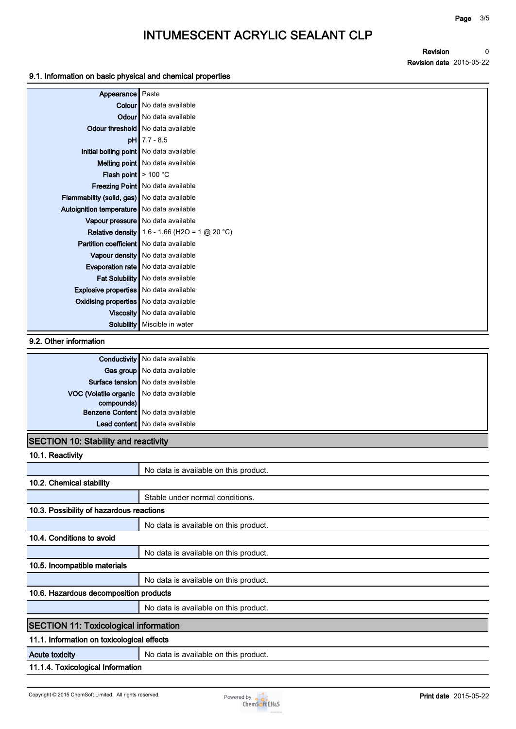**Revision Revision date 2015-05-22 0**

#### **9.1. Information on basic physical and chemical properties**

| Appearance Paste                               |                                                        |
|------------------------------------------------|--------------------------------------------------------|
|                                                | <b>Colour</b> No data available                        |
|                                                | <b>Odour</b> No data available                         |
|                                                | Odour threshold   No data available                    |
|                                                | $pH$ 7.7 - 8.5                                         |
| Initial boiling point   No data available      |                                                        |
|                                                | Melting point   No data available                      |
| <b>Flash point</b> $> 100 °C$                  |                                                        |
|                                                | Freezing Point   No data available                     |
| Flammability (solid, gas) No data available    |                                                        |
| Autoignition temperature   No data available   |                                                        |
|                                                | Vapour pressure   No data available                    |
|                                                | <b>Relative density</b> 1.6 - 1.66 (H2O = 1 $@$ 20 °C) |
| <b>Partition coefficient</b> No data available |                                                        |
|                                                | Vapour density   No data available                     |
|                                                | Evaporation rate   No data available                   |
|                                                | Fat Solubility   No data available                     |
| <b>Explosive properties</b> No data available  |                                                        |
| <b>Oxidising properties</b> No data available  |                                                        |
|                                                | Viscosity   No data available                          |
|                                                | <b>Solubility</b> Miscible in water                    |

#### **9.2. Other information**

|                                         | <b>Conductivity</b> No data available |
|-----------------------------------------|---------------------------------------|
|                                         | Gas group No data available           |
|                                         | Surface tension   No data available   |
| VOC (Volatile organic No data available |                                       |
| compounds)                              |                                       |
|                                         | Benzene Content   No data available   |
|                                         | Lead content   No data available      |
|                                         |                                       |

#### **SECTION 10: Stability and reactivity**

| 10.1. Reactivity                             |                                       |
|----------------------------------------------|---------------------------------------|
|                                              | No data is available on this product. |
| 10.2. Chemical stability                     |                                       |
|                                              | Stable under normal conditions.       |
| 10.3. Possibility of hazardous reactions     |                                       |
|                                              | No data is available on this product. |
| 10.4. Conditions to avoid                    |                                       |
|                                              | No data is available on this product. |
| 10.5. Incompatible materials                 |                                       |
|                                              | No data is available on this product. |
| 10.6. Hazardous decomposition products       |                                       |
|                                              | No data is available on this product. |
| <b>SECTION 11: Toxicological information</b> |                                       |
| 11.1. Information on toxicological effects   |                                       |
| <b>Acute toxicity</b>                        | No data is available on this product. |
| 11.1.4. Toxicological Information            |                                       |

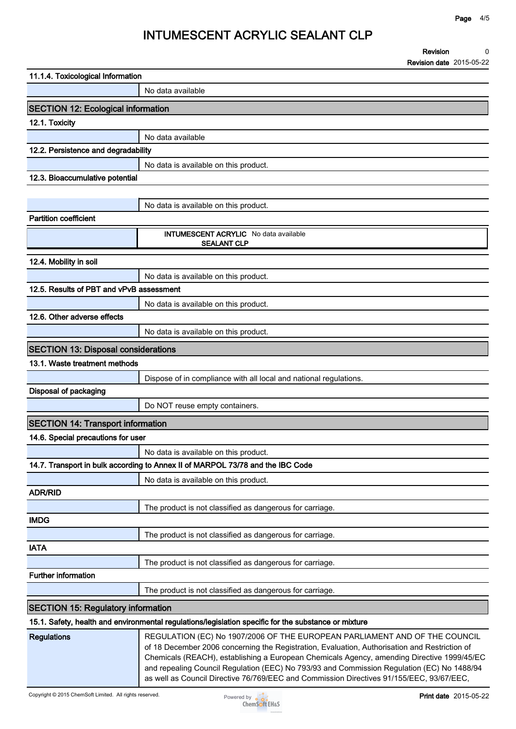**Revision Revision date 2015-05-22 0**

| 11.1.4. Toxicological Information          |                                                                                                                                                                                                                                                                                                                                                                         |
|--------------------------------------------|-------------------------------------------------------------------------------------------------------------------------------------------------------------------------------------------------------------------------------------------------------------------------------------------------------------------------------------------------------------------------|
|                                            | No data available                                                                                                                                                                                                                                                                                                                                                       |
| <b>SECTION 12: Ecological information</b>  |                                                                                                                                                                                                                                                                                                                                                                         |
| 12.1. Toxicity                             |                                                                                                                                                                                                                                                                                                                                                                         |
|                                            | No data available                                                                                                                                                                                                                                                                                                                                                       |
| 12.2. Persistence and degradability        |                                                                                                                                                                                                                                                                                                                                                                         |
|                                            | No data is available on this product.                                                                                                                                                                                                                                                                                                                                   |
| 12.3. Bioaccumulative potential            |                                                                                                                                                                                                                                                                                                                                                                         |
|                                            |                                                                                                                                                                                                                                                                                                                                                                         |
|                                            | No data is available on this product.                                                                                                                                                                                                                                                                                                                                   |
| <b>Partition coefficient</b>               |                                                                                                                                                                                                                                                                                                                                                                         |
|                                            | INTUMESCENT ACRYLIC No data available<br><b>SEALANT CLP</b>                                                                                                                                                                                                                                                                                                             |
| 12.4. Mobility in soil                     |                                                                                                                                                                                                                                                                                                                                                                         |
|                                            | No data is available on this product.                                                                                                                                                                                                                                                                                                                                   |
| 12.5. Results of PBT and vPvB assessment   |                                                                                                                                                                                                                                                                                                                                                                         |
|                                            | No data is available on this product.                                                                                                                                                                                                                                                                                                                                   |
| 12.6. Other adverse effects                |                                                                                                                                                                                                                                                                                                                                                                         |
|                                            | No data is available on this product.                                                                                                                                                                                                                                                                                                                                   |
| <b>SECTION 13: Disposal considerations</b> |                                                                                                                                                                                                                                                                                                                                                                         |
| 13.1. Waste treatment methods              |                                                                                                                                                                                                                                                                                                                                                                         |
|                                            | Dispose of in compliance with all local and national regulations.                                                                                                                                                                                                                                                                                                       |
| <b>Disposal of packaging</b>               |                                                                                                                                                                                                                                                                                                                                                                         |
|                                            | Do NOT reuse empty containers.                                                                                                                                                                                                                                                                                                                                          |
| <b>SECTION 14: Transport information</b>   |                                                                                                                                                                                                                                                                                                                                                                         |
| 14.6. Special precautions for user         |                                                                                                                                                                                                                                                                                                                                                                         |
|                                            | No data is available on this product.                                                                                                                                                                                                                                                                                                                                   |
|                                            | 14.7. Transport in bulk according to Annex II of MARPOL 73/78 and the IBC Code                                                                                                                                                                                                                                                                                          |
|                                            | No data is available on this product.                                                                                                                                                                                                                                                                                                                                   |
| <b>ADR/RID</b>                             |                                                                                                                                                                                                                                                                                                                                                                         |
|                                            | The product is not classified as dangerous for carriage.                                                                                                                                                                                                                                                                                                                |
| <b>IMDG</b>                                |                                                                                                                                                                                                                                                                                                                                                                         |
|                                            | The product is not classified as dangerous for carriage.                                                                                                                                                                                                                                                                                                                |
| <b>IATA</b>                                |                                                                                                                                                                                                                                                                                                                                                                         |
|                                            | The product is not classified as dangerous for carriage.                                                                                                                                                                                                                                                                                                                |
| <b>Further information</b>                 |                                                                                                                                                                                                                                                                                                                                                                         |
|                                            | The product is not classified as dangerous for carriage.                                                                                                                                                                                                                                                                                                                |
| <b>SECTION 15: Regulatory information</b>  |                                                                                                                                                                                                                                                                                                                                                                         |
|                                            | 15.1. Safety, health and environmental regulations/legislation specific for the substance or mixture                                                                                                                                                                                                                                                                    |
| <b>Regulations</b>                         | REGULATION (EC) No 1907/2006 OF THE EUROPEAN PARLIAMENT AND OF THE COUNCIL<br>of 18 December 2006 concerning the Registration, Evaluation, Authorisation and Restriction of<br>Chemicals (REACH), establishing a European Chemicals Agency, amending Directive 1999/45/EC<br>and repealing Council Regulation (EEC) No 793/93 and Commission Regulation (EC) No 1488/94 |



**as well as Council Directive 76/769/EEC and Commission Directives 91/155/EEC, 93/67/EEC,**